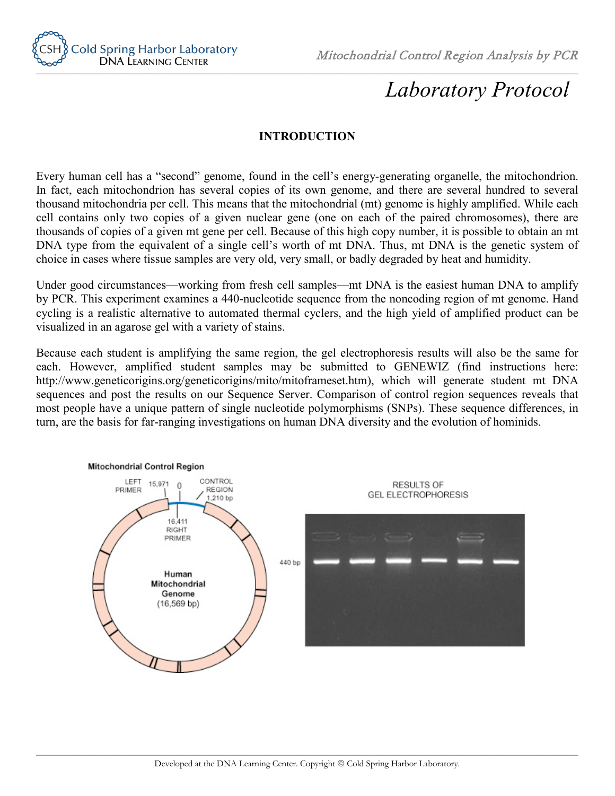

Mitochondrial Control Region Analysis by PCR

# *Laboratory Protocol*

## **INTRODUCTION**

Every human cell has a "second" genome, found in the cell's energy-generating organelle, the mitochondrion. In fact, each mitochondrion has several copies of its own genome, and there are several hundred to several thousand mitochondria per cell. This means that the mitochondrial (mt) genome is highly amplified. While each cell contains only two copies of a given nuclear gene (one on each of the paired chromosomes), there are thousands of copies of a given mt gene per cell. Because of this high copy number, it is possible to obtain an mt DNA type from the equivalent of a single cell's worth of mt DNA. Thus, mt DNA is the genetic system of choice in cases where tissue samples are very old, very small, or badly degraded by heat and humidity.

Under good circumstances—working from fresh cell samples—mt DNA is the easiest human DNA to amplify by PCR. This experiment examines a 440-nucleotide sequence from the noncoding region of mt genome. Hand cycling is a realistic alternative to automated thermal cyclers, and the high yield of amplified product can be visualized in an agarose gel with a variety of stains.

Because each student is amplifying the same region, the gel electrophoresis results will also be the same for each. However, amplified student samples may be submitted to GENEWIZ (find instructions here: http://www.geneticorigins.org/geneticorigins/mito/mitoframeset.htm), which will generate student mt DNA sequences and post the results on our Sequence Server. Comparison of control region sequences reveals that most people have a unique pattern of single nucleotide polymorphisms (SNPs). These sequence differences, in turn, are the basis for far-ranging investigations on human DNA diversity and the evolution of hominids.

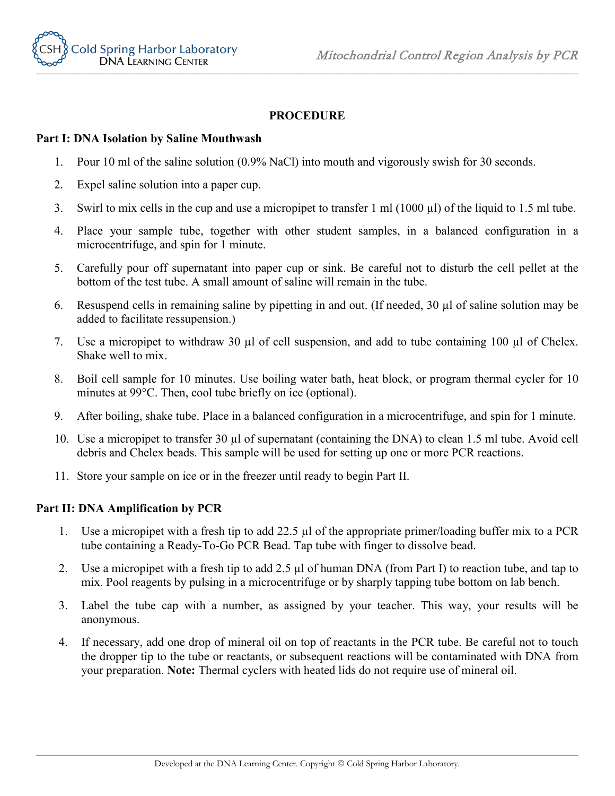



## **PROCEDURE**

## **Part I: DNA Isolation by Saline Mouthwash**

- 1. Pour 10 ml of the saline solution (0.9% NaCl) into mouth and vigorously swish for 30 seconds.
- 2. Expel saline solution into a paper cup.
- 3. Swirl to mix cells in the cup and use a micropipet to transfer 1 ml (1000 µl) of the liquid to 1.5 ml tube.
- 4. Place your sample tube, together with other student samples, in a balanced configuration in a microcentrifuge, and spin for 1 minute.
- 5. Carefully pour off supernatant into paper cup or sink. Be careful not to disturb the cell pellet at the bottom of the test tube. A small amount of saline will remain in the tube.
- 6. Resuspend cells in remaining saline by pipetting in and out. (If needed, 30 µl of saline solution may be added to facilitate ressupension.)
- 7. Use a micropipet to withdraw 30 µl of cell suspension, and add to tube containing 100 µl of Chelex. Shake well to mix.
- 8. Boil cell sample for 10 minutes. Use boiling water bath, heat block, or program thermal cycler for 10 minutes at 99°C. Then, cool tube briefly on ice (optional).
- 9. After boiling, shake tube. Place in a balanced configuration in a microcentrifuge, and spin for 1 minute.
- 10. Use a micropipet to transfer 30 µl of supernatant (containing the DNA) to clean 1.5 ml tube. Avoid cell debris and Chelex beads. This sample will be used for setting up one or more PCR reactions.
- 11. Store your sample on ice or in the freezer until ready to begin Part II.

## **Part II: DNA Amplification by PCR**

- 1. Use a micropipet with a fresh tip to add 22.5 µl of the appropriate primer/loading buffer mix to a PCR tube containing a Ready-To-Go PCR Bead. Tap tube with finger to dissolve bead.
- 2. Use a micropipet with a fresh tip to add 2.5 µl of human DNA (from Part I) to reaction tube, and tap to mix. Pool reagents by pulsing in a microcentrifuge or by sharply tapping tube bottom on lab bench.
- 3. Label the tube cap with a number, as assigned by your teacher. This way, your results will be anonymous.
- 4. If necessary, add one drop of mineral oil on top of reactants in the PCR tube. Be careful not to touch the dropper tip to the tube or reactants, or subsequent reactions will be contaminated with DNA from your preparation. **Note:** Thermal cyclers with heated lids do not require use of mineral oil.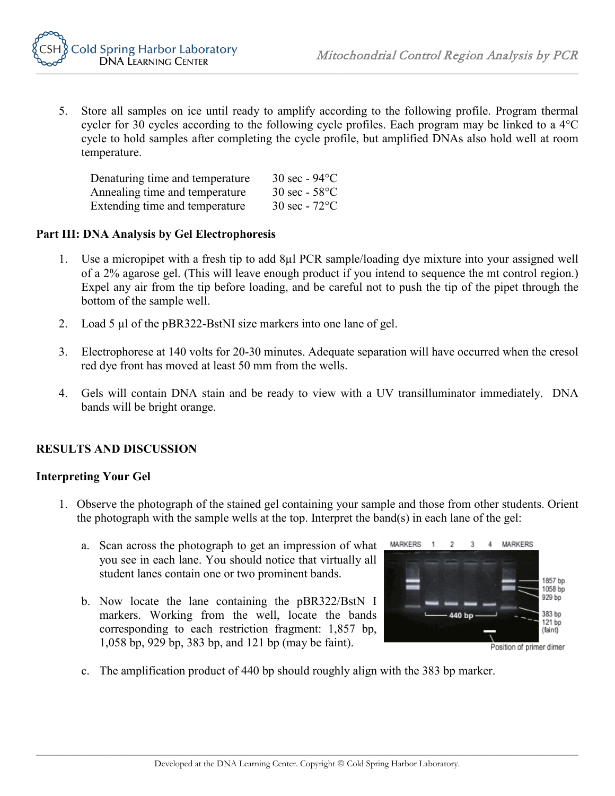

5. Store all samples on ice until ready to amplify according to the following profile. Program thermal cycler for 30 cycles according to the following cycle profiles. Each program may be linked to a 4°C cycle to hold samples after completing the cycle profile, but amplified DNAs also hold well at room temperature.

| Denaturing time and temperature | $30 \text{ sec} - 94$ °C              |
|---------------------------------|---------------------------------------|
| Annealing time and temperature  | $30 \text{ sec} - 58^{\circ}$ C       |
| Extending time and temperature  | $30 \text{ sec} - 72^{\circ}\text{C}$ |

#### **Part III: DNA Analysis by Gel Electrophoresis**

- 1. Use a micropipet with a fresh tip to add 8µl PCR sample/loading dye mixture into your assigned well of a 2% agarose gel. (This will leave enough product if you intend to sequence the mt control region.) Expel any air from the tip before loading, and be careful not to push the tip of the pipet through the bottom of the sample well.
- 2. Load 5 µl of the pBR322-BstNI size markers into one lane of gel.
- 3. Electrophorese at 140 volts for 20-30 minutes. Adequate separation will have occurred when the cresol red dye front has moved at least 50 mm from the wells.
- 4. Gels will contain DNA stain and be ready to view with a UV transilluminator immediately. DNA bands will be bright orange.

### **RESULTS AND DISCUSSION**

#### **Interpreting Your Gel**

- 1. Observe the photograph of the stained gel containing your sample and those from other students. Orient the photograph with the sample wells at the top. Interpret the band(s) in each lane of the gel:
	- a. Scan across the photograph to get an impression of what you see in each lane. You should notice that virtually all student lanes contain one or two prominent bands.
	- b. Now locate the lane containing the pBR322/BstN I markers. Working from the well, locate the bands corresponding to each restriction fragment: 1,857 bp, 1,058 bp, 929 bp, 383 bp, and 121 bp (may be faint).



Position of primer dimer

c. The amplification product of 440 bp should roughly align with the 383 bp marker.